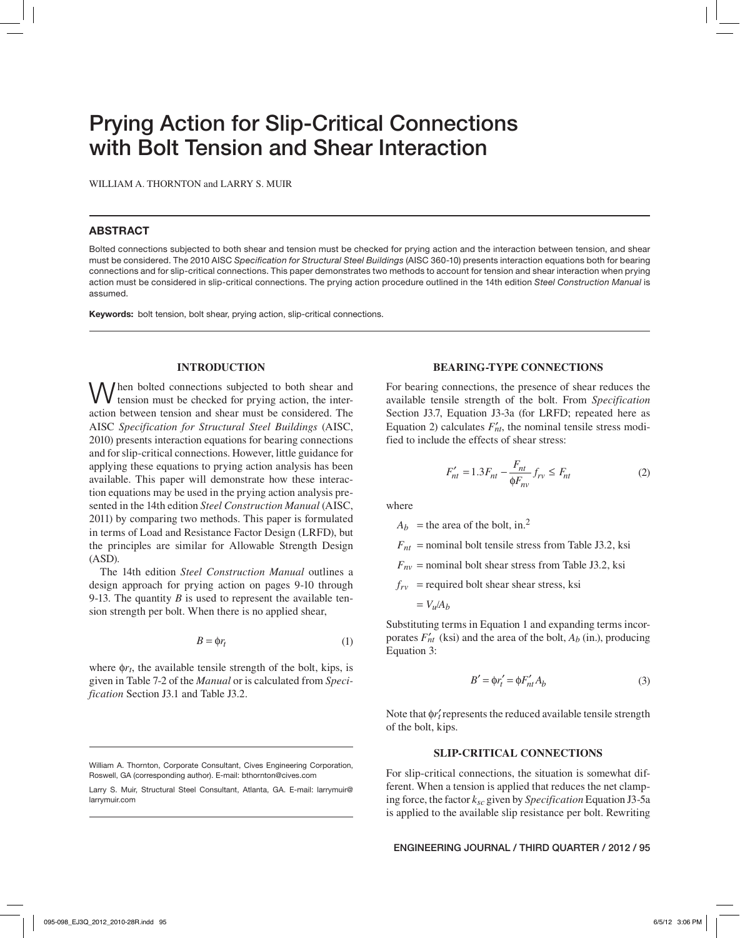# Prying Action for Slip-Critical Connections with Bolt Tension and Shear Interaction

WILLIAM A. THORNTON and LARRY S. MUIR

#### ABSTRACT

Bolted connections subjected to both shear and tension must be checked for prying action and the interaction between tension, and shear must be considered. The 2010 AISC *Specification for Structural Steel Buildings* (AISC 360-10) presents interaction equations both for bearing connections and for slip-critical connections. This paper demonstrates two methods to account for tension and shear interaction when prying action must be considered in slip-critical connections. The prying action procedure outlined in the 14th edition *Steel Construction Manual* is assumed.

Keywords: bolt tension, bolt shear, prying action, slip-critical connections.

# **INTRODUCTION**

I hen bolted connections subjected to both shear and tension must be checked for prying action, the interaction between tension and shear must be considered. The AISC *Specification for Structural Steel Buildings* (AISC, 2010) presents interaction equations for bearing connections and for slip-critical connections. However, little guidance for applying these equations to prying action analysis has been available. This paper will demonstrate how these interaction equations may be used in the prying action analysis presented in the 14th edition *Steel Construction Manual* (AISC, 2011) by comparing two methods. This paper is formulated in terms of Load and Resistance Factor Design (LRFD), but the principles are similar for Allowable Strength Design (ASD).

The 14th edition *Steel Construction Manual* outlines a design approach for prying action on pages 9-10 through 9-13. The quantity *B* is used to represent the available tension strength per bolt. When there is no applied shear,

$$
B = \phi r_t \tag{1}
$$

where ϕ*rt*, the available tensile strength of the bolt, kips, is given in Table 7-2 of the *Manual* or is calculated from *Specification* Section J3.1 and Table J3.2.

Larry S. Muir, Structural Steel Consultant, Atlanta, GA. E-mail: larrymuir@ larrymuir.com

#### **BEARING-TYPE CONNECTIONS**

For bearing connections, the presence of shear reduces the available tensile strength of the bolt. From *Specification* Section J3.7, Equation J3-3a (for LRFD; repeated here as Equation 2) calculates  $F'_{nt}$ , the nominal tensile stress modified to include the effects of shear stress:

$$
F'_{nt} = 1.3F_{nt} - \frac{F_{nt}}{\Phi F_{nv}} f_{rv} \le F_{nt}
$$
 (2)

where

 $A_b$  = the area of the bolt, in.<sup>2</sup>

 $F_{nt}$  = nominal bolt tensile stress from Table J3.2, ksi

 $F_{nv}$  = nominal bolt shear stress from Table J3.2, ksi

 $f_{rv}$  = required bolt shear shear stress, ksi

$$
= V_u/A_b
$$

Substituting terms in Equation 1 and expanding terms incorporates  $F'_{nt}$  (ksi) and the area of the bolt,  $A_b$  (in.), producing Equation 3:

$$
B' = \phi r'_t = \phi F'_{nt} A_b \tag{3}
$$

Note that ϕ*r*′ *t* represents the reduced available tensile strength of the bolt, kips.

# **SLIP-CRITICAL CONNECTIONS**

For slip-critical connections, the situation is somewhat different. When a tension is applied that reduces the net clamping force, the factor *ksc* given by *Specification* Equation J3-5a is applied to the available slip resistance per bolt. Rewriting

# ENGINEERING JOURNAL / THIRD QUARTER / 2012 / 95

William A. Thornton, Corporate Consultant, Cives Engineering Corporation, Roswell, GA (corresponding author). E-mail: bthornton@cives.com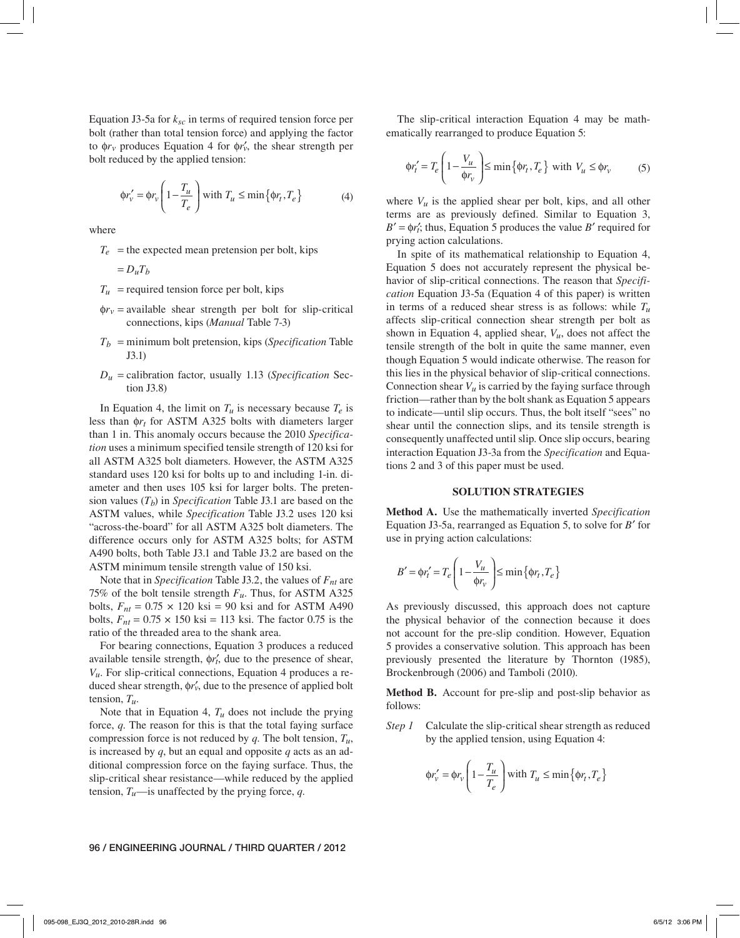Equation J3-5a for *ksc* in terms of required tension force per bolt (rather than total tension force) and applying the factor to  $\phi r_v$  produces Equation 4 for  $\phi r'_v$ , the shear strength per bolt reduced by the applied tension:

$$
\phi r_{\nu}^{\prime} = \phi r_{\nu} \left( 1 - \frac{T_u}{T_e} \right) \text{ with } T_u \le \min \{ \phi r_t, T_e \}
$$
 (4)

where

 $T_e$  = the expected mean pretension per bolt, kips

$$
=D_u T_b
$$

- $T_u$  = required tension force per bolt, kips
- $\phi r_v$  = available shear strength per bolt for slip-critical connections, kips (*Manual* Table 7-3)
- *Tb* = minimum bolt pretension, kips (*Specification* Table J3.1)
- $D_u$  = calibration factor, usually 1.13 (*Specification* Section J3.8)

In Equation 4, the limit on  $T_u$  is necessary because  $T_e$  is less than ϕ*rt* for ASTM A325 bolts with diameters larger than 1 in. This anomaly occurs because the 2010 *Specification* uses a minimum specified tensile strength of 120 ksi for all ASTM A325 bolt diameters. However, the ASTM A325 standard uses 120 ksi for bolts up to and including 1-in. diameter and then uses 105 ksi for larger bolts. The pretension values  $(T_b)$  in *Specification* Table J3.1 are based on the ASTM values, while *Specification* Table J3.2 uses 120 ksi "across-the-board" for all ASTM A325 bolt diameters. The difference occurs only for ASTM A325 bolts; for ASTM A490 bolts, both Table J3.1 and Table J3.2 are based on the ASTM minimum tensile strength value of 150 ksi.

Note that in *Specification* Table J3.2, the values of *Fnt* are 75% of the bolt tensile strength *Fu*. Thus, for ASTM A325 bolts,  $F_{nt} = 0.75 \times 120$  ksi = 90 ksi and for ASTM A490 bolts,  $F_{nt} = 0.75 \times 150$  ksi = 113 ksi. The factor 0.75 is the ratio of the threaded area to the shank area.

For bearing connections, Equation 3 produces a reduced available tensile strength, ϕ*r*′ *t*, due to the presence of shear, *Vu*. For slip-critical connections, Equation 4 produces a reduced shear strength, ϕ*rv*′, due to the presence of applied bolt tension, *Tu*.

Note that in Equation 4,  $T_u$  does not include the prying force, *q*. The reason for this is that the total faying surface compression force is not reduced by *q*. The bolt tension, *Tu*, is increased by *q*, but an equal and opposite *q* acts as an additional compression force on the faying surface. Thus, the slip-critical shear resistance—while reduced by the applied tension,  $T_u$ —is unaffected by the prying force,  $q$ .

96 / ENGINEERING JOURNAL / THIRD QUARTER / 2012

The slip-critical interaction Equation 4 may be mathematically rearranged to produce Equation 5:

$$
\phi r'_t = T_e \left( 1 - \frac{V_u}{\phi r_v} \right) \le \min \left\{ \phi r_t, T_e \right\} \text{ with } V_u \le \phi r_v \tag{5}
$$

where  $V_u$  is the applied shear per bolt, kips, and all other terms are as previously defined. Similar to Equation 3,  $B' = \phi r'_t$ ; thus, Equation 5 produces the value *B'* required for prying action calculations.

In spite of its mathematical relationship to Equation 4, Equation 5 does not accurately represent the physical behavior of slip-critical connections. The reason that *Specification* Equation J3-5a (Equation 4 of this paper) is written in terms of a reduced shear stress is as follows: while  $T_u$ affects slip-critical connection shear strength per bolt as shown in Equation 4, applied shear, *Vu*, does not affect the tensile strength of the bolt in quite the same manner, even though Equation 5 would indicate otherwise. The reason for this lies in the physical behavior of slip-critical connections. Connection shear  $V_u$  is carried by the faying surface through friction—rather than by the bolt shank as Equation 5 appears to indicate—until slip occurs. Thus, the bolt itself "sees" no shear until the connection slips, and its tensile strength is consequently unaffected until slip. Once slip occurs, bearing interaction Equation J3-3a from the *Specification* and Equations 2 and 3 of this paper must be used.

# **SOLUTION STRATEGIES**

**Method A.** Use the mathematically inverted *Specification* Equation J3-5a, rearranged as Equation 5, to solve for *B*′ for use in prying action calculations:

$$
B' = \phi r'_t = T_e \left( 1 - \frac{V_u}{\phi r_v} \right) \le \min \{ \phi r_t, T_e \}
$$

As previously discussed, this approach does not capture the physical behavior of the connection because it does not account for the pre-slip condition. However, Equation 5 provides a conservative solution. This approach has been previously presented the literature by Thornton (1985), Brockenbrough (2006) and Tamboli (2010).

**Method B.** Account for pre-slip and post-slip behavior as follows:

*Step 1* Calculate the slip-critical shear strength as reduced by the applied tension, using Equation 4:

$$
\phi r_{v}^{\prime} = \phi r_{v} \left( 1 - \frac{T_{u}}{T_{e}} \right) \text{with } T_{u} \le \min \{ \phi r_{t}, T_{e} \}
$$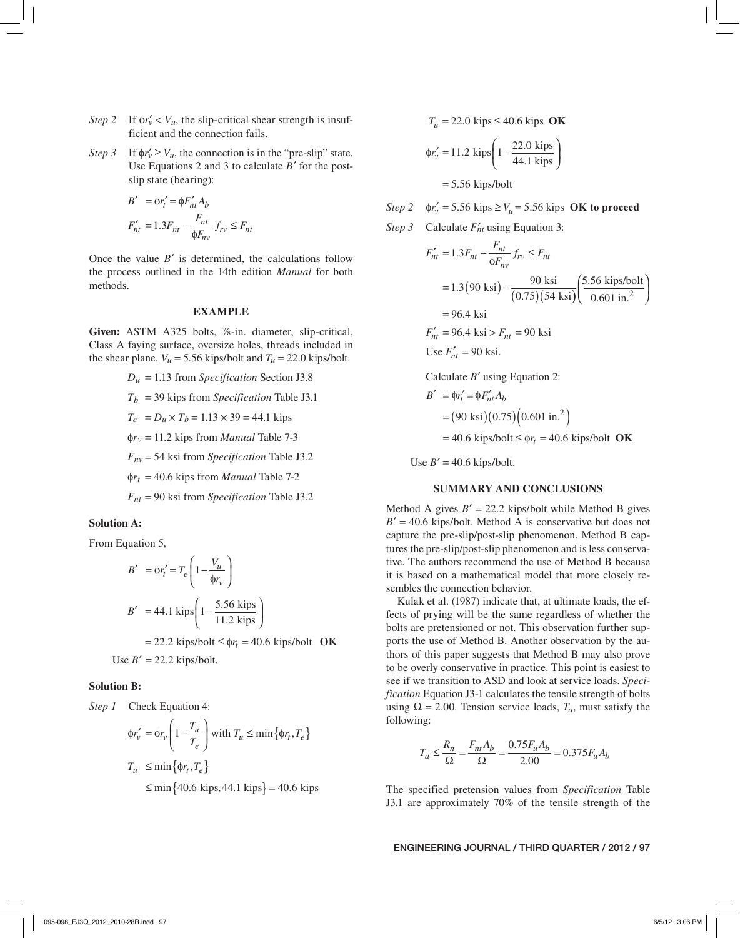- *Step 2* If  $\phi r_v' < V_u$ , the slip-critical shear strength is insufficient and the connection fails.
- *Step 3* If  $\phi r'_v \ge V_u$ , the connection is in the "pre-slip" state. Use Equations 2 and 3 to calculate *B*′ for the postslip state (bearing):

$$
B' = \phi r'_t = \phi F'_{nt} A_b
$$
  

$$
F'_{nt} = 1.3F_{nt} - \frac{F_{nt}}{\phi F_{nv}} f_{rv} \le F_{nt}
$$

Once the value *B*′ is determined, the calculations follow the process outlined in the 14th edition *Manual* for both methods.

#### **EXAMPLE**

Given: ASTM A325 bolts, <sup>7</sup><sub>8</sub>-in. diameter, slip-critical, Class A faying surface, oversize holes, threads included in the shear plane.  $V_u = 5.56$  kips/bolt and  $T_u = 22.0$  kips/bolt.

*Du* = 1.13 from *Specification* Section J3.8

 $T_b$  = 39 kips from *Specification* Table J3.1

 $T_e$  =  $D_u \times T_b$  = 1.13  $\times$  39 = 44.1 kips

 $\phi r_v = 11.2$  kips from *Manual* Table 7-3

*Fnv* = 54 ksi from *Specification* Table J3.2

ϕ*rt* = 40.6 kips from *Manual* Table 7-2

*Fnt* = 90 ksi from *Specification* Table J3.2

#### **Solution A:**

From Equation 5,

$$
B' = \phi r_t' = T_e \left( 1 - \frac{V_u}{\phi r_v} \right)
$$
  
\n
$$
B' = 44.1 \text{ kips} \left( 1 - \frac{5.56 \text{ kips}}{11.2 \text{ kips}} \right)
$$
  
\n= 22.2 kips/bolt  $\leq \phi r_t = 40.6 \text{ kips/bolt } OK$ 

Use  $B' = 22.2$  kips/bolt.

#### **Solution B:**

*Step 1* Check Equation 4:

$$
\phi r_{v}^{\prime} = \phi r_{v} \left( 1 - \frac{T_{u}}{T_{e}} \right) \text{ with } T_{u} \le \min \{ \phi r_{t}, T_{e} \}
$$

$$
T_u \le \min\{\phi_{T_t}, T_e\}
$$
  

$$
\le \min\{40.6 \text{ kips}, 44.1 \text{ kips}\} = 40.6 \text{ kips}
$$

 $T_u = 22.0$  kips  $\leq 40.6$  kips **OK** 

$$
\phi r_v' = 11.2 \text{ kips} \left( 1 - \frac{22.0 \text{ kips}}{44.1 \text{ kips}} \right)
$$

$$
= 5.56 \text{ kips/bolt}
$$

*Step 2*  $\phi r_v' = 5.56$  kips  $\ge V_u = 5.56$  kips **OK to proceed** 

*Step 3* Calculate  $F'_{nt}$  using Equation 3:

$$
F'_{nt} = 1.3F_{nt} - \frac{F_{nt}}{\Phi F_{nv}} f_{rv} \le F_{nt}
$$
  
= 1.3(90 ksi) - \frac{90 ksi}{(0.75)(54 ksi)} \left(\frac{5.56 \text{ kips/bolt}}{0.601 \text{ in.}^2}\right)  
= 96.4 ksi  
 $F'_{nt}$  = 96.4 ksi >  $F_{nt}$  = 90 ksi  
Use  $F'_{nt}$  = 90 ksi.

Calculate *B*′ using Equation 2:

$$
B' = \phi r'_t = \phi F'_{nt} A_b
$$
  
= (90 ksi)(0.75)(0.601 in.<sup>2</sup>)  
= 40.6 kips/bolt  $\leq \phi r_t = 40.6$  kips/bolt **OK**

Use  $B' = 40.6$  kips/bolt.

# **SUMMARY AND CONCLUSIONS**

Method A gives  $B' = 22.2$  kips/bolt while Method B gives  $B' = 40.6$  kips/bolt. Method A is conservative but does not capture the pre-slip/post-slip phenomenon. Method B captures the pre-slip/post-slip phenomenon and is less conservative. The authors recommend the use of Method B because it is based on a mathematical model that more closely resembles the connection behavior.

Kulak et al. (1987) indicate that, at ultimate loads, the effects of prying will be the same regardless of whether the bolts are pretensioned or not. This observation further supports the use of Method B. Another observation by the authors of this paper suggests that Method B may also prove to be overly conservative in practice. This point is easiest to see if we transition to ASD and look at service loads. *Specification* Equation J3-1 calculates the tensile strength of bolts using  $\Omega = 2.00$ . Tension service loads,  $T_a$ , must satisfy the following:

$$
T_a \le \frac{R_n}{\Omega} = \frac{F_{nt}A_b}{\Omega} = \frac{0.75F_uA_b}{2.00} = 0.375F_uA_b
$$

The specified pretension values from *Specification* Table J3.1 are approximately 70% of the tensile strength of the

# ENGINEERING JOURNAL / THIRD QUARTER / 2012 / 97